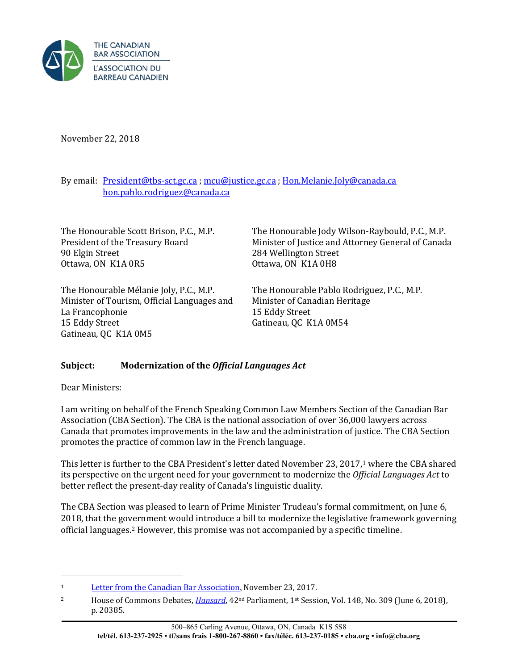

November 22, 2018

By email: [President@tbs-sct.gc.ca](mailto:President@tbs-sct.gc.ca) ; [mcu@justice.gc.ca](mailto:mcu@justice.gc.ca) ; [Hon.Melanie.Joly@canada.ca](mailto:Hon.Melanie.Joly@canada.ca) [hon.pablo.rodriguez@canada.ca](mailto:hon.pablo.rodriguez@canada.ca)

| The Honourable Scott Brison, P.C., M.P.     | The Honourable Jody Wilson-Raybould, P.C., M.P.    |
|---------------------------------------------|----------------------------------------------------|
| President of the Treasury Board             | Minister of Justice and Attorney General of Canada |
| 90 Elgin Street                             | 284 Wellington Street                              |
| Ottawa, ON K1A 0R5                          | Ottawa, ON K1A 0H8                                 |
| The Honourable Mélanie Joly, P.C., M.P.     | The Honourable Pablo Rodriguez, P.C., M.P.         |
| Minister of Tourism, Official Languages and | Minister of Canadian Heritage                      |
| La Francophonie                             | 15 Eddy Street                                     |

Gatineau, QC K1A 0M54

## **Subject: Modernization of the** *Official Languages Act*

Dear Ministers:

 $\overline{a}$ 

15 Eddy Street

Gatineau, QC K1A 0M5

I am writing on behalf of the French Speaking Common Law Members Section of the Canadian Bar Association (CBA Section). The CBA is the national association of over 36,000 lawyers across Canada that promotes improvements in the law and the administration of justice. The CBA Section promotes the practice of common law in the French language.

This letter is further to the CBA President's letter dated November 23, 2017,<sup>1</sup> where the CBA shared its perspective on the urgent need for your government to modernize the *Of[fi](#page-0-0)cial Languages Act* to better reflect the present-day reality of Canada's linguistic duality.

The CBA Section was pleased to learn of Prime Minister Trudeau's formal commitment, on June 6, 2018, that the go[ve](#page-0-1)rnment would introduce a bill to modernize the legislative framework governing official languages.2 However, this promise was not accompanied by a specific timeline.

<span id="page-0-0"></span><sup>&</sup>lt;sup>1</sup> [Letter from the Canadian Bar Association](https://www.cba.org/CMSPages/GetFile.aspx?guid=2e60ad31-061a-4cef-9489-504a1d78b447), November 23, 2017.

<span id="page-0-1"></span><sup>&</sup>lt;sup>2</sup> House of Commons Debates, *[Hansard](http://www.noscommunes.ca/Content/House/421/Debates/309/HAN309-F.PDF)*, 42<sup>nd</sup> Parliament, 1<sup>st</sup> Session, Vol. 148, No. 309 (June 6, 2018), p. 20385.